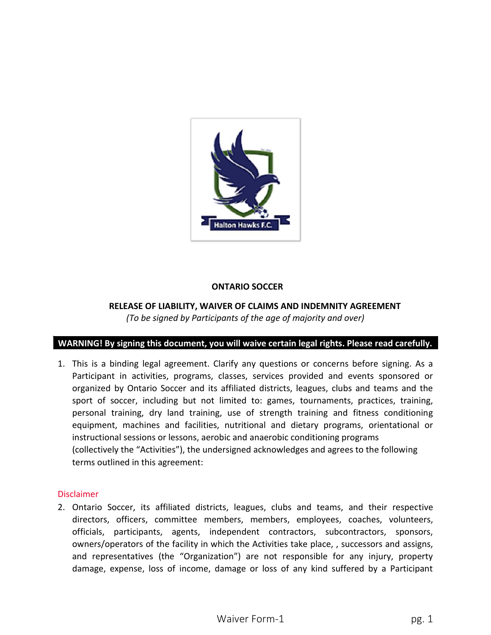

### **ONTARIO SOCCER**

# **RELEASE OF LIABILITY, WAIVER OF CLAIMS AND INDEMNITY AGREEMENT** *(To be signed by Participants of the age of majority and over)*

#### **WARNING! By signing this document, you will waive certain legal rights. Please read carefully.**

1. This is a binding legal agreement. Clarify any questions or concerns before signing. As a Participant in activities, programs, classes, services provided and events sponsored or organized by Ontario Soccer and its affiliated districts, leagues, clubs and teams and the sport of soccer, including but not limited to: games, tournaments, practices, training, personal training, dry land training, use of strength training and fitness conditioning equipment, machines and facilities, nutritional and dietary programs, orientational or instructional sessions or lessons, aerobic and anaerobic conditioning programs (collectively the "Activities"), the undersigned acknowledges and agrees to the following terms outlined in this agreement:

#### Disclaimer

2. Ontario Soccer, its affiliated districts, leagues, clubs and teams, and their respective directors, officers, committee members, members, employees, coaches, volunteers, officials, participants, agents, independent contractors, subcontractors, sponsors, owners/operators of the facility in which the Activities take place, , successors and assigns, and representatives (the "Organization") are not responsible for any injury, property damage, expense, loss of income, damage or loss of any kind suffered by a Participant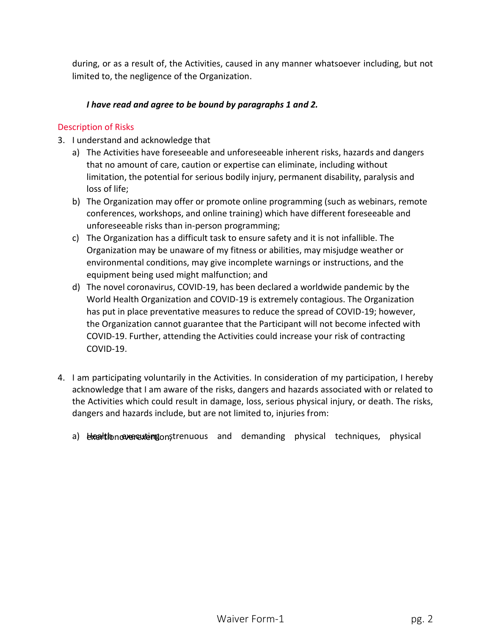during, or as a result of, the Activities, caused in any manner whatsoever including, but not limited to, the negligence of the Organization.

# *I have read and agree to be bound by paragraphs 1 and 2.*

#### Description of Risks

- 3. I understand and acknowledge that
	- a) The Activities have foreseeable and unforeseeable inherent risks, hazards and dangers that no amount of care, caution or expertise can eliminate, including without limitation, the potential for serious bodily injury, permanent disability, paralysis and loss of life;
	- b) The Organization may offer or promote online programming (such as webinars, remote conferences, workshops, and online training) which have different foreseeable and unforeseeable risks than in-person programming;
	- c) The Organization has a difficult task to ensure safety and it is not infallible. The Organization may be unaware of my fitness or abilities, may misjudge weather or environmental conditions, may give incomplete warnings or instructions, and the equipment being used might malfunction; and
	- d) The novel coronavirus, COVID-19, has been declared a worldwide pandemic by the World Health Organization and COVID-19 is extremely contagious. The Organization has put in place preventative measures to reduce the spread of COVID-19; however, the Organization cannot guarantee that the Participant will not become infected with COVID-19. Further, attending the Activities could increase your risk of contracting COVID-19.
- 4. I am participating voluntarily in the Activities. In consideration of my participation, I hereby acknowledge that I am aware of the risks, dangers and hazards associated with or related to the Activities which could result in damage, loss, serious physical injury, or death. The risks, dangers and hazards include, but are not limited to, injuries from:
	- a) Health exertion extentions trenuous and demanding physical techniques, physical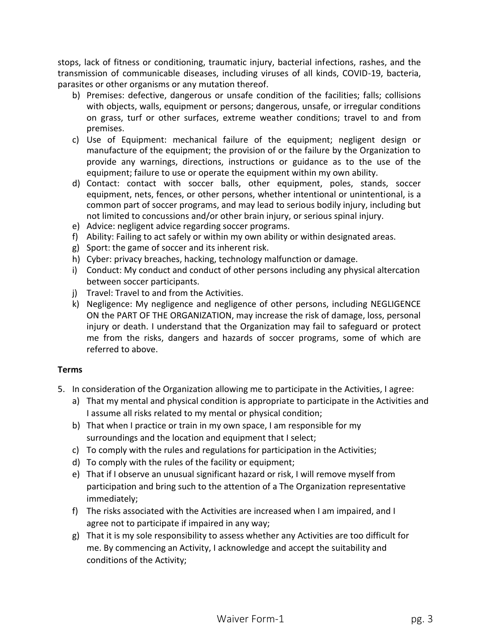stops, lack of fitness or conditioning, traumatic injury, bacterial infections, rashes, and the transmission of communicable diseases, including viruses of all kinds, COVID-19, bacteria, parasites or other organisms or any mutation thereof.

- b) Premises: defective, dangerous or unsafe condition of the facilities; falls; collisions with objects, walls, equipment or persons; dangerous, unsafe, or irregular conditions on grass, turf or other surfaces, extreme weather conditions; travel to and from premises.
- c) Use of Equipment: mechanical failure of the equipment; negligent design or manufacture of the equipment; the provision of or the failure by the Organization to provide any warnings, directions, instructions or guidance as to the use of the equipment; failure to use or operate the equipment within my own ability.
- d) Contact: contact with soccer balls, other equipment, poles, stands, soccer equipment, nets, fences, or other persons, whether intentional or unintentional, is a common part of soccer programs, and may lead to serious bodily injury, including but not limited to concussions and/or other brain injury, or serious spinal injury.
- e) Advice: negligent advice regarding soccer programs.
- f) Ability: Failing to act safely or within my own ability or within designated areas.
- g) Sport: the game of soccer and its inherent risk.
- h) Cyber: privacy breaches, hacking, technology malfunction or damage.
- i) Conduct: My conduct and conduct of other persons including any physical altercation between soccer participants.
- j) Travel: Travel to and from the Activities.
- k) Negligence: My negligence and negligence of other persons, including NEGLIGENCE ON the PART OF THE ORGANIZATION, may increase the risk of damage, loss, personal injury or death. I understand that the Organization may fail to safeguard or protect me from the risks, dangers and hazards of soccer programs, some of which are referred to above.

# **Terms**

- 5. In consideration of the Organization allowing me to participate in the Activities, I agree:
	- a) That my mental and physical condition is appropriate to participate in the Activities and I assume all risks related to my mental or physical condition;
	- b) That when I practice or train in my own space, I am responsible for my surroundings and the location and equipment that I select;
	- c) To comply with the rules and regulations for participation in the Activities;
	- d) To comply with the rules of the facility or equipment;
	- e) That if I observe an unusual significant hazard or risk, I will remove myself from participation and bring such to the attention of a The Organization representative immediately;
	- f) The risks associated with the Activities are increased when I am impaired, and I agree not to participate if impaired in any way;
	- g) That it is my sole responsibility to assess whether any Activities are too difficult for me. By commencing an Activity, I acknowledge and accept the suitability and conditions of the Activity;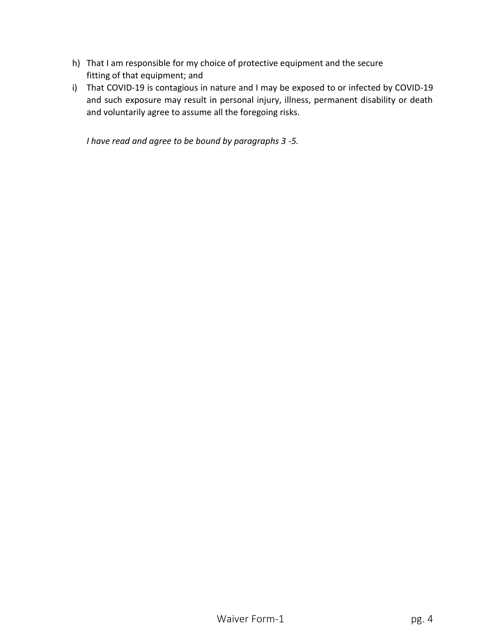- h) That I am responsible for my choice of protective equipment and the secure fitting of that equipment; and
- i) That COVID-19 is contagious in nature and I may be exposed to or infected by COVID-19 and such exposure may result in personal injury, illness, permanent disability or death and voluntarily agree to assume all the foregoing risks.

*I have read and agree to be bound by paragraphs 3 -5.*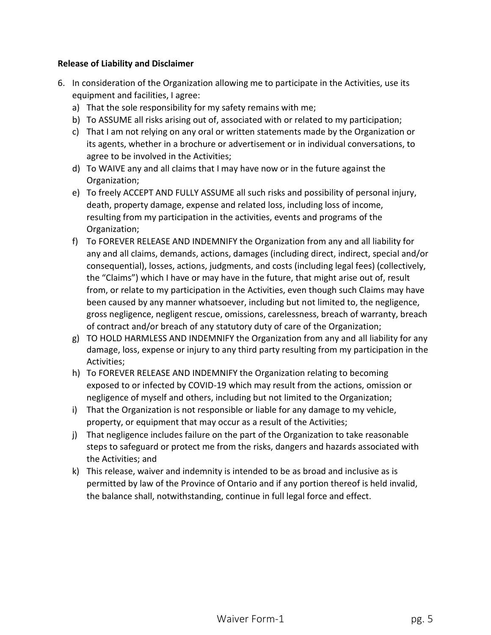### **Release of Liability and Disclaimer**

- 6. In consideration of the Organization allowing me to participate in the Activities, use its equipment and facilities, I agree:
	- a) That the sole responsibility for my safety remains with me;
	- b) To ASSUME all risks arising out of, associated with or related to my participation;
	- c) That I am not relying on any oral or written statements made by the Organization or its agents, whether in a brochure or advertisement or in individual conversations, to agree to be involved in the Activities;
	- d) To WAIVE any and all claims that I may have now or in the future against the Organization;
	- e) To freely ACCEPT AND FULLY ASSUME all such risks and possibility of personal injury, death, property damage, expense and related loss, including loss of income, resulting from my participation in the activities, events and programs of the Organization;
	- f) To FOREVER RELEASE AND INDEMNIFY the Organization from any and all liability for any and all claims, demands, actions, damages (including direct, indirect, special and/or consequential), losses, actions, judgments, and costs (including legal fees) (collectively, the "Claims") which I have or may have in the future, that might arise out of, result from, or relate to my participation in the Activities, even though such Claims may have been caused by any manner whatsoever, including but not limited to, the negligence, gross negligence, negligent rescue, omissions, carelessness, breach of warranty, breach of contract and/or breach of any statutory duty of care of the Organization;
	- g) TO HOLD HARMLESS AND INDEMNIFY the Organization from any and all liability for any damage, loss, expense or injury to any third party resulting from my participation in the Activities;
	- h) To FOREVER RELEASE AND INDEMNIFY the Organization relating to becoming exposed to or infected by COVID-19 which may result from the actions, omission or negligence of myself and others, including but not limited to the Organization;
	- i) That the Organization is not responsible or liable for any damage to my vehicle, property, or equipment that may occur as a result of the Activities;
	- j) That negligence includes failure on the part of the Organization to take reasonable steps to safeguard or protect me from the risks, dangers and hazards associated with the Activities; and
	- k) This release, waiver and indemnity is intended to be as broad and inclusive as is permitted by law of the Province of Ontario and if any portion thereof is held invalid, the balance shall, notwithstanding, continue in full legal force and effect.